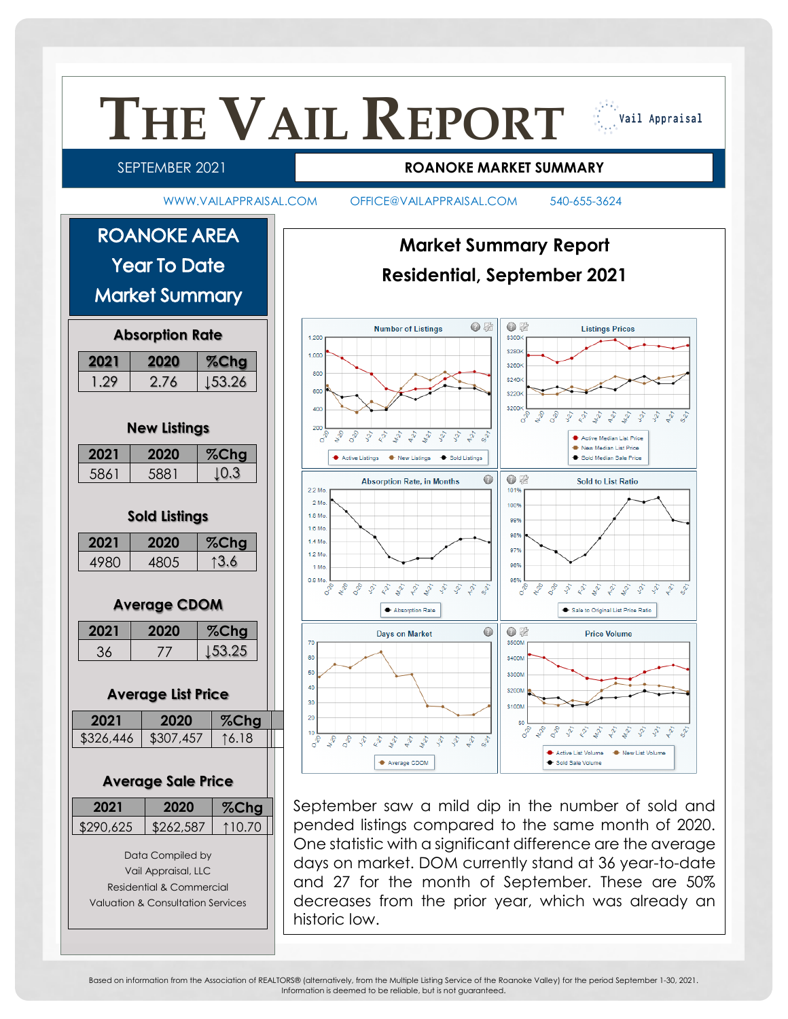

Based on information from the Association of REALTORS® (alternatively, from the Multiple Listing Service of the Roanoke Valley) for the period September 1-30, 2021. Information is deemed to be reliable, but is not guaranteed.